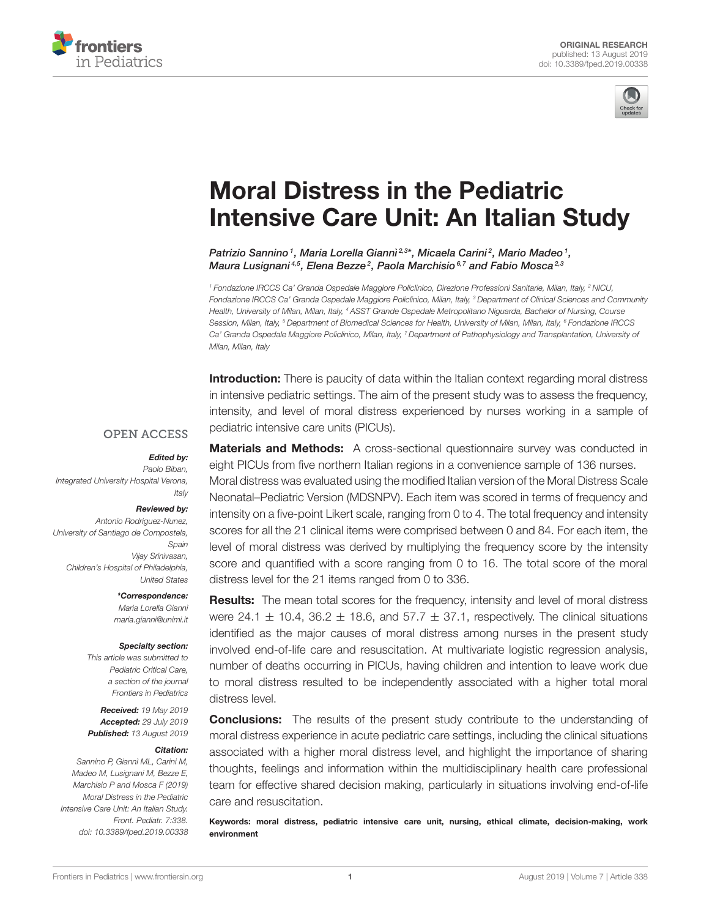



# Moral Distress in the Pediatric [Intensive Care Unit: An Italian Study](https://www.frontiersin.org/articles/10.3389/fped.2019.00338/full)

[Patrizio Sannino](http://loop.frontiersin.org/people/747884/overview) <sup>1</sup>, [Maria Lorella Giannì](http://loop.frontiersin.org/people/320456/overview) <sup>2,3\*</sup>, Micaela Carini <sup>2</sup>, Mario Madeo <sup>1</sup>, [Maura Lusignani](http://loop.frontiersin.org/people/741348/overview)<sup>4,5</sup>, Elena Bezze<sup>2</sup>, [Paola Marchisio](http://loop.frontiersin.org/people/622628/overview)<sup>6,7</sup> and [Fabio Mosca](http://loop.frontiersin.org/people/563990/overview)<sup>2,3</sup>

<sup>1</sup> Fondazione IRCCS Ca' Granda Ospedale Maggiore Policlinico, Direzione Professioni Sanitarie, Milan, Italy, <sup>2</sup> NICU, Fondazione IRCCS Ca' Granda Ospedale Maggiore Policlinico, Milan, Italy, <sup>3</sup> Department of Clinical Sciences and Community Health, University of Milan, Milan, Italy, <sup>4</sup> ASST Grande Ospedale Metropolitano Niguarda, Bachelor of Nursing, Course Session, Milan, Italy, <sup>5</sup> Department of Biomedical Sciences for Health, University of Milan, Milan, Italy, <sup>6</sup> Fondazione IRCCS Ca' Granda Ospedale Maggiore Policlinico, Milan, Italy, <sup>7</sup> Department of Pathophysiology and Transplantation, University of Milan, Milan, Italy

Introduction: There is paucity of data within the Italian context regarding moral distress in intensive pediatric settings. The aim of the present study was to assess the frequency, intensity, and level of moral distress experienced by nurses working in a sample of pediatric intensive care units (PICUs).

#### **OPEN ACCESS**

#### Edited by:

Paolo Biban, Integrated University Hospital Verona, Italy

#### Reviewed by:

Antonio Rodriguez-Nunez, University of Santiago de Compostela, Spain Vijay Srinivasan, Children's Hospital of Philadelphia, United States

#### \*Correspondence:

Maria Lorella Giannì [maria.gianni@unimi.it](mailto:maria.gianni@unimi.it)

#### Specialty section:

This article was submitted to Pediatric Critical Care, a section of the journal Frontiers in Pediatrics

Received: 19 May 2019 Accepted: 29 July 2019 Published: 13 August 2019

#### Citation:

Sannino P, Giannì ML, Carini M, Madeo M, Lusignani M, Bezze E, Marchisio P and Mosca F (2019) Moral Distress in the Pediatric Intensive Care Unit: An Italian Study. Front. Pediatr. 7:338. doi: [10.3389/fped.2019.00338](https://doi.org/10.3389/fped.2019.00338)

**Materials and Methods:** A cross-sectional questionnaire survey was conducted in eight PICUs from five northern Italian regions in a convenience sample of 136 nurses. Moral distress was evaluated using the modified Italian version of the Moral Distress Scale Neonatal–Pediatric Version (MDSNPV). Each item was scored in terms of frequency and intensity on a five-point Likert scale, ranging from 0 to 4. The total frequency and intensity scores for all the 21 clinical items were comprised between 0 and 84. For each item, the level of moral distress was derived by multiplying the frequency score by the intensity score and quantified with a score ranging from 0 to 16. The total score of the moral distress level for the 21 items ranged from 0 to 336.

**Results:** The mean total scores for the frequency, intensity and level of moral distress were 24.1  $\pm$  10.4, 36.2  $\pm$  18.6, and 57.7  $\pm$  37.1, respectively. The clinical situations identified as the major causes of moral distress among nurses in the present study involved end-of-life care and resuscitation. At multivariate logistic regression analysis, number of deaths occurring in PICUs, having children and intention to leave work due to moral distress resulted to be independently associated with a higher total moral distress level.

**Conclusions:** The results of the present study contribute to the understanding of moral distress experience in acute pediatric care settings, including the clinical situations associated with a higher moral distress level, and highlight the importance of sharing thoughts, feelings and information within the multidisciplinary health care professional team for effective shared decision making, particularly in situations involving end-of-life care and resuscitation.

Keywords: moral distress, pediatric intensive care unit, nursing, ethical climate, decision-making, work environment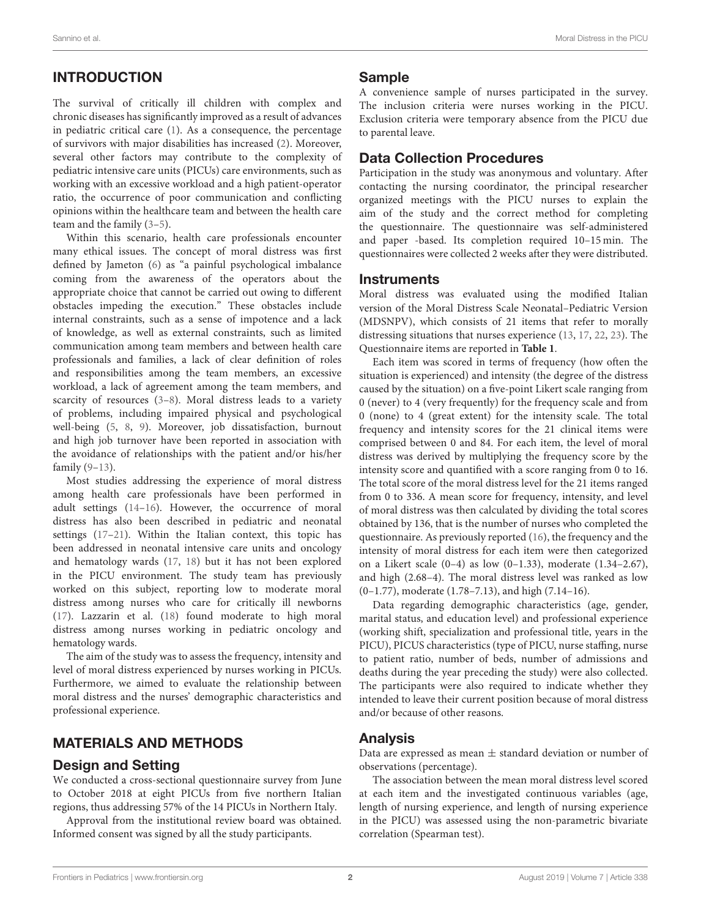# INTRODUCTION

The survival of critically ill children with complex and chronic diseases has significantly improved as a result of advances in pediatric critical care [\(1\)](#page-5-0). As a consequence, the percentage of survivors with major disabilities has increased [\(2\)](#page-5-1). Moreover, several other factors may contribute to the complexity of pediatric intensive care units (PICUs) care environments, such as working with an excessive workload and a high patient-operator ratio, the occurrence of poor communication and conflicting opinions within the healthcare team and between the health care team and the family [\(3](#page-5-2)[–5\)](#page-6-0).

Within this scenario, health care professionals encounter many ethical issues. The concept of moral distress was first defined by Jameton [\(6\)](#page-6-1) as "a painful psychological imbalance coming from the awareness of the operators about the appropriate choice that cannot be carried out owing to different obstacles impeding the execution." These obstacles include internal constraints, such as a sense of impotence and a lack of knowledge, as well as external constraints, such as limited communication among team members and between health care professionals and families, a lack of clear definition of roles and responsibilities among the team members, an excessive workload, a lack of agreement among the team members, and scarcity of resources [\(3–](#page-5-2)[8\)](#page-6-2). Moral distress leads to a variety of problems, including impaired physical and psychological well-being [\(5,](#page-6-0) [8,](#page-6-2) [9\)](#page-6-3). Moreover, job dissatisfaction, burnout and high job turnover have been reported in association with the avoidance of relationships with the patient and/or his/her family [\(9–](#page-6-3)[13\)](#page-6-4).

Most studies addressing the experience of moral distress among health care professionals have been performed in adult settings [\(14](#page-6-5)[–16\)](#page-6-6). However, the occurrence of moral distress has also been described in pediatric and neonatal settings [\(17–](#page-6-7)[21\)](#page-6-8). Within the Italian context, this topic has been addressed in neonatal intensive care units and oncology and hematology wards [\(17,](#page-6-7) [18\)](#page-6-9) but it has not been explored in the PICU environment. The study team has previously worked on this subject, reporting low to moderate moral distress among nurses who care for critically ill newborns [\(17\)](#page-6-7). Lazzarin et al. [\(18\)](#page-6-9) found moderate to high moral distress among nurses working in pediatric oncology and hematology wards.

The aim of the study was to assess the frequency, intensity and level of moral distress experienced by nurses working in PICUs. Furthermore, we aimed to evaluate the relationship between moral distress and the nurses' demographic characteristics and professional experience.

### MATERIALS AND METHODS

### Design and Setting

We conducted a cross-sectional questionnaire survey from June to October 2018 at eight PICUs from five northern Italian regions, thus addressing 57% of the 14 PICUs in Northern Italy.

Approval from the institutional review board was obtained. Informed consent was signed by all the study participants.

#### Sample

A convenience sample of nurses participated in the survey. The inclusion criteria were nurses working in the PICU. Exclusion criteria were temporary absence from the PICU due to parental leave.

# Data Collection Procedures

Participation in the study was anonymous and voluntary. After contacting the nursing coordinator, the principal researcher organized meetings with the PICU nurses to explain the aim of the study and the correct method for completing the questionnaire. The questionnaire was self-administered and paper -based. Its completion required 10–15 min. The questionnaires were collected 2 weeks after they were distributed.

### **Instruments**

Moral distress was evaluated using the modified Italian version of the Moral Distress Scale Neonatal–Pediatric Version (MDSNPV), which consists of 21 items that refer to morally distressing situations that nurses experience [\(13,](#page-6-4) [17,](#page-6-7) [22,](#page-6-10) [23\)](#page-6-11). The Questionnaire items are reported in **[Table 1](#page-2-0)**.

Each item was scored in terms of frequency (how often the situation is experienced) and intensity (the degree of the distress caused by the situation) on a five-point Likert scale ranging from 0 (never) to 4 (very frequently) for the frequency scale and from 0 (none) to 4 (great extent) for the intensity scale. The total frequency and intensity scores for the 21 clinical items were comprised between 0 and 84. For each item, the level of moral distress was derived by multiplying the frequency score by the intensity score and quantified with a score ranging from 0 to 16. The total score of the moral distress level for the 21 items ranged from 0 to 336. A mean score for frequency, intensity, and level of moral distress was then calculated by dividing the total scores obtained by 136, that is the number of nurses who completed the questionnaire. As previously reported [\(16\)](#page-6-6), the frequency and the intensity of moral distress for each item were then categorized on a Likert scale (0–4) as low (0–1.33), moderate (1.34–2.67), and high (2.68–4). The moral distress level was ranked as low (0–1.77), moderate (1.78–7.13), and high (7.14–16).

Data regarding demographic characteristics (age, gender, marital status, and education level) and professional experience (working shift, specialization and professional title, years in the PICU), PICUS characteristics (type of PICU, nurse staffing, nurse to patient ratio, number of beds, number of admissions and deaths during the year preceding the study) were also collected. The participants were also required to indicate whether they intended to leave their current position because of moral distress and/or because of other reasons.

### Analysis

Data are expressed as mean  $\pm$  standard deviation or number of observations (percentage).

The association between the mean moral distress level scored at each item and the investigated continuous variables (age, length of nursing experience, and length of nursing experience in the PICU) was assessed using the non-parametric bivariate correlation (Spearman test).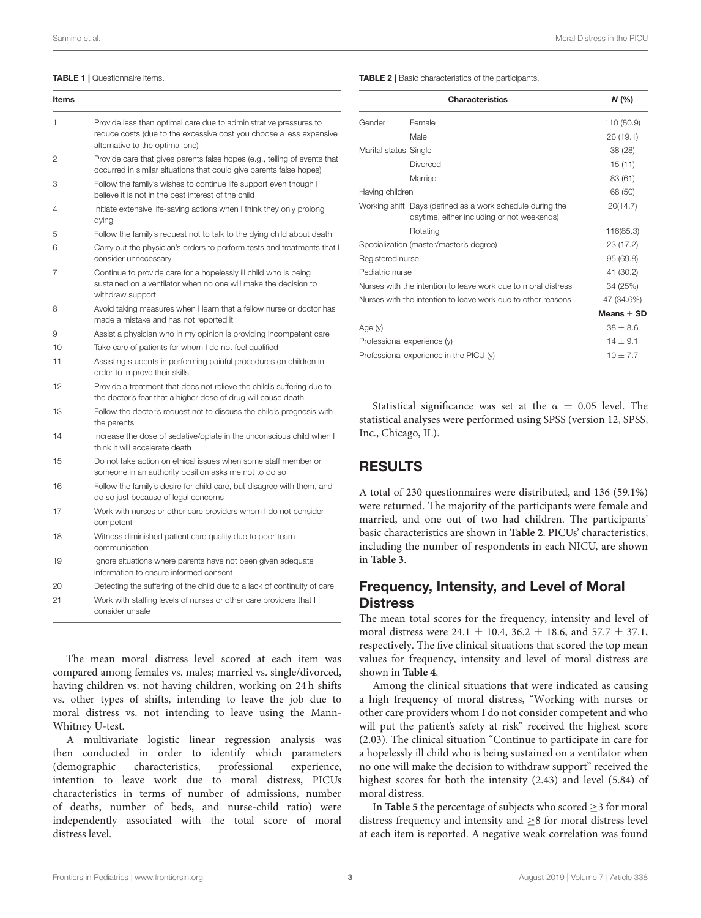#### <span id="page-2-0"></span>TABLE 1 | Questionnaire items.

| Items |                                                                                                                                                                             |
|-------|-----------------------------------------------------------------------------------------------------------------------------------------------------------------------------|
| 1     | Provide less than optimal care due to administrative pressures to<br>reduce costs (due to the excessive cost you choose a less expensive<br>alternative to the optimal one) |
| 2     | Provide care that gives parents false hopes (e.g., telling of events that<br>occurred in similar situations that could give parents false hopes)                            |
| З     | Follow the family's wishes to continue life support even though I<br>believe it is not in the best interest of the child                                                    |
| 4     | Initiate extensive life-saving actions when I think they only prolong<br>dying                                                                                              |
| 5     | Follow the family's request not to talk to the dying child about death                                                                                                      |
| 6     | Carry out the physician's orders to perform tests and treatments that I<br>consider unnecessary                                                                             |
| 7     | Continue to provide care for a hopelessly ill child who is being<br>sustained on a ventilator when no one will make the decision to<br>withdraw support                     |
| 8     | Avoid taking measures when I learn that a fellow nurse or doctor has<br>made a mistake and has not reported it                                                              |
| 9     | Assist a physician who in my opinion is providing incompetent care                                                                                                          |
| 10    | Take care of patients for whom I do not feel qualified                                                                                                                      |
| 11    | Assisting students in performing painful procedures on children in<br>order to improve their skills                                                                         |
| 12    | Provide a treatment that does not relieve the child's suffering due to<br>the doctor's fear that a higher dose of drug will cause death                                     |
| 13    | Follow the doctor's request not to discuss the child's prognosis with<br>the parents                                                                                        |
| 14    | Increase the dose of sedative/opiate in the unconscious child when I<br>think it will accelerate death                                                                      |
| 15    | Do not take action on ethical issues when some staff member or<br>someone in an authority position asks me not to do so                                                     |
| 16    | Follow the family's desire for child care, but disagree with them, and<br>do so just because of legal concerns                                                              |
| 17    | Work with nurses or other care providers whom I do not consider<br>competent                                                                                                |
| 18    | Witness diminished patient care quality due to poor team<br>communication                                                                                                   |
| 19    | Ignore situations where parents have not been given adequate<br>information to ensure informed consent                                                                      |
| 20    | Detecting the suffering of the child due to a lack of continuity of care                                                                                                    |
| 21    | Work with staffing levels of nurses or other care providers that I<br>consider unsafe                                                                                       |

The mean moral distress level scored at each item was compared among females vs. males; married vs. single/divorced, having children vs. not having children, working on 24 h shifts vs. other types of shifts, intending to leave the job due to moral distress vs. not intending to leave using the Mann-Whitney U-test.

A multivariate logistic linear regression analysis was then conducted in order to identify which parameters (demographic characteristics, professional experience, intention to leave work due to moral distress, PICUs characteristics in terms of number of admissions, number of deaths, number of beds, and nurse-child ratio) were independently associated with the total score of moral distress level.

<span id="page-2-1"></span>TABLE 2 | Basic characteristics of the participants.

|                                           | <b>Characteristics</b>                                                                                  | N(%          |  |  |
|-------------------------------------------|---------------------------------------------------------------------------------------------------------|--------------|--|--|
| Gender                                    | Female                                                                                                  | 110 (80.9)   |  |  |
|                                           | Male                                                                                                    | 26 (19.1)    |  |  |
| Marital status Single                     |                                                                                                         | 38 (28)      |  |  |
|                                           | Divorced                                                                                                | 15(11)       |  |  |
|                                           | Married                                                                                                 | 83 (61)      |  |  |
| Having children                           | 68 (50)                                                                                                 |              |  |  |
|                                           | Working shift Days (defined as a work schedule during the<br>daytime, either including or not weekends) | 20(14.7)     |  |  |
|                                           | Rotating                                                                                                | 116(85.3)    |  |  |
| Specialization (master/master's degree)   | 23 (17.2)                                                                                               |              |  |  |
| Registered nurse                          | 95 (69.8)                                                                                               |              |  |  |
| Pediatric nurse                           |                                                                                                         | 41 (30.2)    |  |  |
|                                           | Nurses with the intention to leave work due to moral distress                                           | 34 (25%)     |  |  |
|                                           | Nurses with the intention to leave work due to other reasons                                            |              |  |  |
|                                           |                                                                                                         | Means $+$ SD |  |  |
| Age (y)                                   |                                                                                                         | $38 + 8.6$   |  |  |
| Professional experience (y)               | $14 + 9.1$                                                                                              |              |  |  |
| Professional experience in the PICU $(y)$ | $10 + 7.7$                                                                                              |              |  |  |

Statistical significance was set at the  $\alpha = 0.05$  level. The statistical analyses were performed using SPSS (version 12, SPSS, Inc., Chicago, IL).

# RESULTS

A total of 230 questionnaires were distributed, and 136 (59.1%) were returned. The majority of the participants were female and married, and one out of two had children. The participants' basic characteristics are shown in **[Table 2](#page-2-1)**. PICUs' characteristics, including the number of respondents in each NICU, are shown in **[Table 3](#page-3-0)**.

## Frequency, Intensity, and Level of Moral **Distress**

The mean total scores for the frequency, intensity and level of moral distress were 24.1  $\pm$  10.4, 36.2  $\pm$  18.6, and 57.7  $\pm$  37.1, respectively. The five clinical situations that scored the top mean values for frequency, intensity and level of moral distress are shown in **[Table 4](#page-3-1)**.

Among the clinical situations that were indicated as causing a high frequency of moral distress, "Working with nurses or other care providers whom I do not consider competent and who will put the patient's safety at risk" received the highest score (2.03). The clinical situation "Continue to participate in care for a hopelessly ill child who is being sustained on a ventilator when no one will make the decision to withdraw support" received the highest scores for both the intensity (2.43) and level (5.84) of moral distress.

In **[Table 5](#page-4-0)** the percentage of subjects who scored  $\geq$  3 for moral distress frequency and intensity and ≥8 for moral distress level at each item is reported. A negative weak correlation was found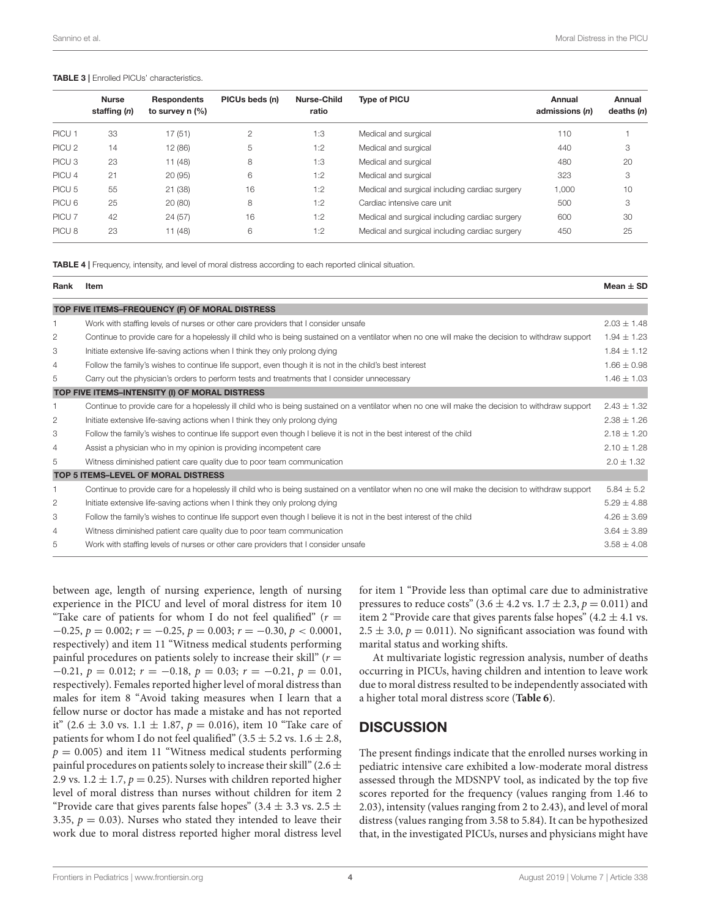#### <span id="page-3-0"></span>TABLE 3 | Enrolled PICUs' characteristics.

|                   | <b>Nurse</b><br>staffing (n) | <b>Respondents</b><br>to survey $n$ (%) | PICUs beds (n) | Nurse-Child<br>ratio | <b>Type of PICU</b>                            | Annual<br>admissions (n) | Annual<br>deaths $(n)$ |
|-------------------|------------------------------|-----------------------------------------|----------------|----------------------|------------------------------------------------|--------------------------|------------------------|
| PICU <sub>1</sub> | 33                           | 17(51)                                  | $\overline{2}$ | 1:3                  | Medical and surgical                           | 110                      |                        |
| PICU <sub>2</sub> | 14                           | 12 (86)                                 | 5              | 1:2                  | Medical and surgical                           | 440                      | 3                      |
| PICU <sub>3</sub> | 23                           | 11(48)                                  | 8              | 1:3                  | Medical and surgical                           | 480                      | 20                     |
| PICU 4            | 21                           | 20(95)                                  | 6              | 1:2                  | Medical and surgical                           | 323                      | 3                      |
| PICU <sub>5</sub> | 55                           | 21(38)                                  | 16             | 1:2                  | Medical and surgical including cardiac surgery | 1,000                    | 10                     |
| PICU <sub>6</sub> | 25                           | 20(80)                                  | 8              | 1:2                  | Cardiac intensive care unit                    | 500                      | 3                      |
| PICU <sub>7</sub> | 42                           | 24(57)                                  | 16             | 1:2                  | Medical and surgical including cardiac surgery | 600                      | 30                     |
| PICU <sub>8</sub> | 23                           | 11(48)                                  | 6              | 1:2                  | Medical and surgical including cardiac surgery | 450                      | 25                     |

<span id="page-3-1"></span>TABLE 4 | Frequency, intensity, and level of moral distress according to each reported clinical situation.

| Rank | Item                                                                                                                                              | $Mean + SD$     |
|------|---------------------------------------------------------------------------------------------------------------------------------------------------|-----------------|
|      | TOP FIVE ITEMS-FREQUENCY (F) OF MORAL DISTRESS                                                                                                    |                 |
|      | Work with staffing levels of nurses or other care providers that I consider unsafe                                                                | $2.03 \pm 1.48$ |
| 2    | Continue to provide care for a hopelessly ill child who is being sustained on a ventilator when no one will make the decision to withdraw support | $1.94 \pm 1.23$ |
| 3    | Initiate extensive life-saving actions when I think they only prolong dying                                                                       | $1.84 + 1.12$   |
| 4    | Follow the family's wishes to continue life support, even though it is not in the child's best interest                                           | $1.66 \pm 0.98$ |
| 5    | Carry out the physician's orders to perform tests and treatments that I consider unnecessary                                                      | $1.46 \pm 1.03$ |
|      | TOP FIVE ITEMS-INTENSITY (I) OF MORAL DISTRESS                                                                                                    |                 |
|      | Continue to provide care for a hopelessly ill child who is being sustained on a ventilator when no one will make the decision to withdraw support | $2.43 \pm 1.32$ |
| 2    | Initiate extensive life-saving actions when I think they only prolong dying                                                                       | $2.38 \pm 1.26$ |
| 3    | Follow the family's wishes to continue life support even though I believe it is not in the best interest of the child                             | $2.18 \pm 1.20$ |
| 4    | Assist a physician who in my opinion is providing incompetent care                                                                                | $2.10 \pm 1.28$ |
| 5    | Witness diminished patient care quality due to poor team communication                                                                            | $2.0 \pm 1.32$  |
|      | TOP 5 ITEMS-LEVEL OF MORAL DISTRESS                                                                                                               |                 |
|      | Continue to provide care for a hopelessly ill child who is being sustained on a ventilator when no one will make the decision to withdraw support | $5.84 \pm 5.2$  |
| 2    | Initiate extensive life-saving actions when I think they only prolong dying                                                                       | $5.29 \pm 4.88$ |
| 3    | Follow the family's wishes to continue life support even though I believe it is not in the best interest of the child                             | $4.26 \pm 3.69$ |
| 4    | Witness diminished patient care quality due to poor team communication                                                                            | $3.64 \pm 3.89$ |
| 5    | Work with staffing levels of nurses or other care providers that I consider unsafe                                                                | $3.58 \pm 4.08$ |

between age, length of nursing experience, length of nursing experience in the PICU and level of moral distress for item 10 "Take care of patients for whom I do not feel qualified" ( $r =$  $-0.25, p = 0.002; r = -0.25, p = 0.003; r = -0.30, p < 0.0001,$ respectively) and item 11 "Witness medical students performing painful procedures on patients solely to increase their skill" ( $r =$  $-0.21, p = 0.012; r = -0.18, p = 0.03; r = -0.21, p = 0.01,$ respectively). Females reported higher level of moral distress than males for item 8 "Avoid taking measures when I learn that a fellow nurse or doctor has made a mistake and has not reported it" (2.6  $\pm$  3.0 vs. 1.1  $\pm$  1.87,  $p = 0.016$ ), item 10 "Take care of patients for whom I do not feel qualified" (3.5  $\pm$  5.2 vs. 1.6  $\pm$  2.8,  $p = 0.005$ ) and item 11 "Witness medical students performing painful procedures on patients solely to increase their skill" (2.6  $\pm$ 2.9 vs.  $1.2 \pm 1.7$ ,  $p = 0.25$ ). Nurses with children reported higher level of moral distress than nurses without children for item 2 "Provide care that gives parents false hopes" (3.4  $\pm$  3.3 vs. 2.5  $\pm$ 3.35,  $p = 0.03$ ). Nurses who stated they intended to leave their work due to moral distress reported higher moral distress level for item 1 "Provide less than optimal care due to administrative pressures to reduce costs" (3.6  $\pm$  4.2 vs. 1.7  $\pm$  2.3,  $p = 0.011$ ) and item 2 "Provide care that gives parents false hopes"  $(4.2 \pm 4.1 \text{ vs.})$  $2.5 \pm 3.0$ ,  $p = 0.011$ ). No significant association was found with marital status and working shifts.

At multivariate logistic regression analysis, number of deaths occurring in PICUs, having children and intention to leave work due to moral distress resulted to be independently associated with a higher total moral distress score (**[Table 6](#page-5-3)**).

### **DISCUSSION**

The present findings indicate that the enrolled nurses working in pediatric intensive care exhibited a low-moderate moral distress assessed through the MDSNPV tool, as indicated by the top five scores reported for the frequency (values ranging from 1.46 to 2.03), intensity (values ranging from 2 to 2.43), and level of moral distress (values ranging from 3.58 to 5.84). It can be hypothesized that, in the investigated PICUs, nurses and physicians might have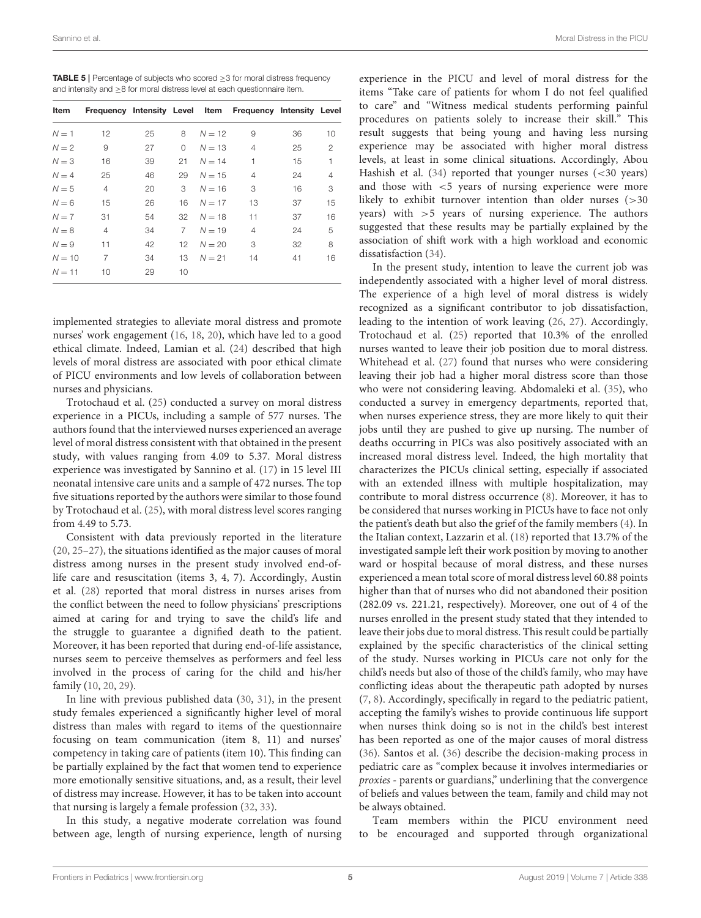<span id="page-4-0"></span>

| <b>TABLE 5</b>   Percentage of subjects who scored $\geq$ 3 for moral distress frequency |
|------------------------------------------------------------------------------------------|
| and intensity and $\geq$ 8 for moral distress level at each questionnaire item.          |

| Item     | Frequency Intensity Level Item |    |                  |          | Frequency Intensity Level |    |                |
|----------|--------------------------------|----|------------------|----------|---------------------------|----|----------------|
| $N = 1$  | 12                             | 25 | 8                | $N = 12$ | 9                         | 36 | 10             |
| $N = 2$  | 9                              | 27 | $\Omega$         | $N = 13$ | 4                         | 25 | $\overline{2}$ |
| $N = 3$  | 16                             | 39 | 21               | $N = 14$ | 1                         | 15 | 1              |
| $N = 4$  | 25                             | 46 | 29               | $N = 15$ | 4                         | 24 | 4              |
| $N = 5$  | 4                              | 20 | 3                | $N = 16$ | 3                         | 16 | 3              |
| $N = 6$  | 15                             | 26 | 16               | $N = 17$ | 13                        | 37 | 15             |
| $N = 7$  | 31                             | 54 | 32               | $N = 18$ | 11                        | 37 | 16             |
| $N = 8$  | 4                              | 34 | $\overline{7}$   | $N = 19$ | 4                         | 24 | 5              |
| $N = 9$  | 11                             | 42 | 12 <sup>12</sup> | $N = 20$ | 3                         | 32 | 8              |
| $N = 10$ | 7                              | 34 | 13               | $N = 21$ | 14                        | 41 | 16             |
| $N = 11$ | 10                             | 29 | 10               |          |                           |    |                |

implemented strategies to alleviate moral distress and promote nurses' work engagement [\(16,](#page-6-6) [18,](#page-6-9) [20\)](#page-6-12), which have led to a good ethical climate. Indeed, Lamian et al. [\(24\)](#page-6-13) described that high levels of moral distress are associated with poor ethical climate of PICU environments and low levels of collaboration between nurses and physicians.

Trotochaud et al. [\(25\)](#page-6-14) conducted a survey on moral distress experience in a PICUs, including a sample of 577 nurses. The authors found that the interviewed nurses experienced an average level of moral distress consistent with that obtained in the present study, with values ranging from 4.09 to 5.37. Moral distress experience was investigated by Sannino et al. [\(17\)](#page-6-7) in 15 level III neonatal intensive care units and a sample of 472 nurses. The top five situations reported by the authors were similar to those found by Trotochaud et al. [\(25\)](#page-6-14), with moral distress level scores ranging from 4.49 to 5.73.

Consistent with data previously reported in the literature [\(20,](#page-6-12) [25](#page-6-14)[–27\)](#page-6-15), the situations identified as the major causes of moral distress among nurses in the present study involved end-oflife care and resuscitation (items 3, 4, 7). Accordingly, Austin et al. [\(28\)](#page-6-16) reported that moral distress in nurses arises from the conflict between the need to follow physicians' prescriptions aimed at caring for and trying to save the child's life and the struggle to guarantee a dignified death to the patient. Moreover, it has been reported that during end-of-life assistance, nurses seem to perceive themselves as performers and feel less involved in the process of caring for the child and his/her family [\(10,](#page-6-17) [20,](#page-6-12) [29\)](#page-6-18).

In line with previous published data [\(30,](#page-6-19) [31\)](#page-6-20), in the present study females experienced a significantly higher level of moral distress than males with regard to items of the questionnaire focusing on team communication (item 8, 11) and nurses' competency in taking care of patients (item 10). This finding can be partially explained by the fact that women tend to experience more emotionally sensitive situations, and, as a result, their level of distress may increase. However, it has to be taken into account that nursing is largely a female profession [\(32,](#page-6-21) [33\)](#page-6-22).

In this study, a negative moderate correlation was found between age, length of nursing experience, length of nursing

experience in the PICU and level of moral distress for the items "Take care of patients for whom I do not feel qualified to care" and "Witness medical students performing painful procedures on patients solely to increase their skill." This result suggests that being young and having less nursing experience may be associated with higher moral distress levels, at least in some clinical situations. Accordingly, Abou Hashish et al.  $(34)$  reported that younger nurses  $( $30$  years)$ and those with <5 years of nursing experience were more likely to exhibit turnover intention than older nurses (>30 years) with >5 years of nursing experience. The authors suggested that these results may be partially explained by the association of shift work with a high workload and economic dissatisfaction [\(34\)](#page-6-23).

In the present study, intention to leave the current job was independently associated with a higher level of moral distress. The experience of a high level of moral distress is widely recognized as a significant contributor to job dissatisfaction, leading to the intention of work leaving [\(26,](#page-6-24) [27\)](#page-6-15). Accordingly, Trotochaud et al. [\(25\)](#page-6-14) reported that 10.3% of the enrolled nurses wanted to leave their job position due to moral distress. Whitehead et al. [\(27\)](#page-6-15) found that nurses who were considering leaving their job had a higher moral distress score than those who were not considering leaving. Abdomaleki et al. [\(35\)](#page-6-25), who conducted a survey in emergency departments, reported that, when nurses experience stress, they are more likely to quit their jobs until they are pushed to give up nursing. The number of deaths occurring in PICs was also positively associated with an increased moral distress level. Indeed, the high mortality that characterizes the PICUs clinical setting, especially if associated with an extended illness with multiple hospitalization, may contribute to moral distress occurrence [\(8\)](#page-6-2). Moreover, it has to be considered that nurses working in PICUs have to face not only the patient's death but also the grief of the family members [\(4\)](#page-6-26). In the Italian context, Lazzarin et al. [\(18\)](#page-6-9) reported that 13.7% of the investigated sample left their work position by moving to another ward or hospital because of moral distress, and these nurses experienced a mean total score of moral distress level 60.88 points higher than that of nurses who did not abandoned their position (282.09 vs. 221.21, respectively). Moreover, one out of 4 of the nurses enrolled in the present study stated that they intended to leave their jobs due to moral distress. This result could be partially explained by the specific characteristics of the clinical setting of the study. Nurses working in PICUs care not only for the child's needs but also of those of the child's family, who may have conflicting ideas about the therapeutic path adopted by nurses [\(7,](#page-6-27) [8\)](#page-6-2). Accordingly, specifically in regard to the pediatric patient, accepting the family's wishes to provide continuous life support when nurses think doing so is not in the child's best interest has been reported as one of the major causes of moral distress [\(36\)](#page-6-28). Santos et al. [\(36\)](#page-6-28) describe the decision-making process in pediatric care as "complex because it involves intermediaries or proxies - parents or guardians," underlining that the convergence of beliefs and values between the team, family and child may not be always obtained.

Team members within the PICU environment need to be encouraged and supported through organizational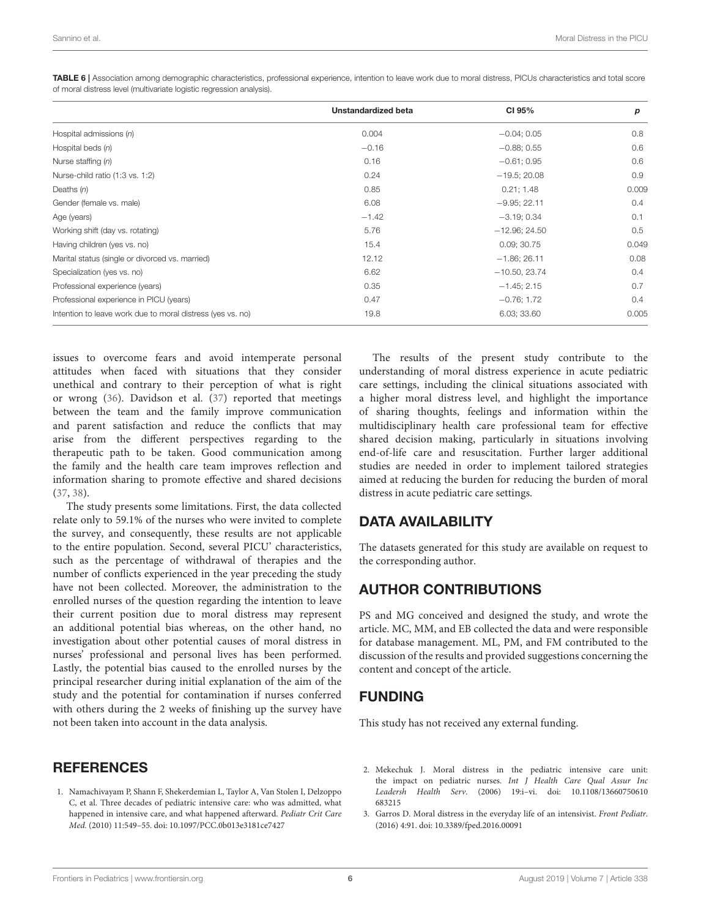|                                                            | Unstandardized beta | CI 95%          | p     |
|------------------------------------------------------------|---------------------|-----------------|-------|
| Hospital admissions $(n)$                                  | 0.004               | $-0.04; 0.05$   | 0.8   |
| Hospital beds $(n)$                                        | $-0.16$             | $-0.88; 0.55$   | 0.6   |
| Nurse staffing $(n)$                                       | 0.16                | $-0.61; 0.95$   | 0.6   |
| Nurse-child ratio (1:3 vs. 1:2)                            | 0.24                | $-19.5; 20.08$  | 0.9   |
| Deaths $(n)$                                               | 0.85                | 0.21; 1.48      | 0.009 |
| Gender (female vs. male)                                   | 6.08                | $-9.95; 22.11$  | 0.4   |
| Age (years)                                                | $-1.42$             | $-3.19; 0.34$   | 0.1   |
| Working shift (day vs. rotating)                           | 5.76                | $-12.96; 24.50$ | 0.5   |
| Having children (yes vs. no)                               | 15.4                | 0.09; 30.75     | 0.049 |
| Marital status (single or divorced vs. married)            | 12.12               | $-1.86; 26.11$  | 0.08  |
| Specialization (yes vs. no)                                | 6.62                | $-10.50, 23.74$ | 0.4   |
| Professional experience (years)                            | 0.35                | $-1.45; 2.15$   | 0.7   |
| Professional experience in PICU (years)                    | 0.47                | $-0.76; 1.72$   | 0.4   |
| Intention to leave work due to moral distress (yes vs. no) | 19.8                | 6.03; 33.60     | 0.005 |

<span id="page-5-3"></span>TABLE 6 | Association among demographic characteristics, professional experience, intention to leave work due to moral distress, PICUs characteristics and total score of moral distress level (multivariate logistic regression analysis).

issues to overcome fears and avoid intemperate personal attitudes when faced with situations that they consider unethical and contrary to their perception of what is right or wrong [\(36\)](#page-6-28). Davidson et al. [\(37\)](#page-6-29) reported that meetings between the team and the family improve communication and parent satisfaction and reduce the conflicts that may arise from the different perspectives regarding to the therapeutic path to be taken. Good communication among the family and the health care team improves reflection and information sharing to promote effective and shared decisions [\(37,](#page-6-29) [38\)](#page-6-30).

The study presents some limitations. First, the data collected relate only to 59.1% of the nurses who were invited to complete the survey, and consequently, these results are not applicable to the entire population. Second, several PICU' characteristics, such as the percentage of withdrawal of therapies and the number of conflicts experienced in the year preceding the study have not been collected. Moreover, the administration to the enrolled nurses of the question regarding the intention to leave their current position due to moral distress may represent an additional potential bias whereas, on the other hand, no investigation about other potential causes of moral distress in nurses' professional and personal lives has been performed. Lastly, the potential bias caused to the enrolled nurses by the principal researcher during initial explanation of the aim of the study and the potential for contamination if nurses conferred with others during the 2 weeks of finishing up the survey have not been taken into account in the data analysis.

### **REFERENCES**

<span id="page-5-0"></span>1. Namachivayam P, Shann F, Shekerdemian L, Taylor A, Van Stolen I, Delzoppo C, et al. Three decades of pediatric intensive care: who was admitted, what happened in intensive care, and what happened afterward. Pediatr Crit Care Med. (2010) 11:549–55. doi: [10.1097/PCC.0b013e3181ce7427](https://doi.org/10.1097/PCC.0b013e3181ce7427)

The results of the present study contribute to the understanding of moral distress experience in acute pediatric care settings, including the clinical situations associated with a higher moral distress level, and highlight the importance of sharing thoughts, feelings and information within the multidisciplinary health care professional team for effective shared decision making, particularly in situations involving end-of-life care and resuscitation. Further larger additional studies are needed in order to implement tailored strategies aimed at reducing the burden for reducing the burden of moral distress in acute pediatric care settings.

#### DATA AVAILABILITY

The datasets generated for this study are available on request to the corresponding author.

### AUTHOR CONTRIBUTIONS

PS and MG conceived and designed the study, and wrote the article. MC, MM, and EB collected the data and were responsible for database management. ML, PM, and FM contributed to the discussion of the results and provided suggestions concerning the content and concept of the article.

### FUNDING

This study has not received any external funding.

- <span id="page-5-1"></span>2. Mekechuk J. Moral distress in the pediatric intensive care unit: the impact on pediatric nurses. Int J Health Care Qual Assur Inc Leadersh Health Serv[. \(2006\) 19:i–vi. doi: 10.1108/13660750610](https://doi.org/10.1108/13660750610683215) 683215
- <span id="page-5-2"></span>3. Garros D. Moral distress in the everyday life of an intensivist. Front Pediatr. (2016) 4:91. doi: [10.3389/fped.2016.00091](https://doi.org/10.3389/fped.2016.00091)